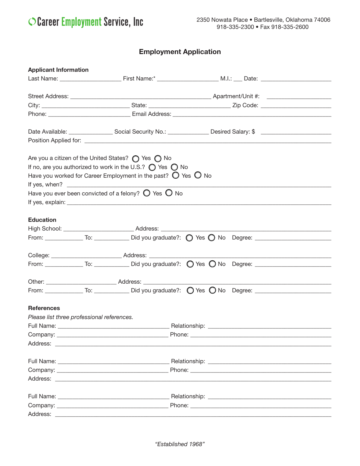## O Career Employment Service, Inc.

## **Employment Application**

| <b>Applicant Information</b>               |  |                                                                                                                                                     |  |                                                                                                                                                                                                                               |  |  |  |  |
|--------------------------------------------|--|-----------------------------------------------------------------------------------------------------------------------------------------------------|--|-------------------------------------------------------------------------------------------------------------------------------------------------------------------------------------------------------------------------------|--|--|--|--|
|                                            |  |                                                                                                                                                     |  |                                                                                                                                                                                                                               |  |  |  |  |
|                                            |  |                                                                                                                                                     |  |                                                                                                                                                                                                                               |  |  |  |  |
|                                            |  |                                                                                                                                                     |  |                                                                                                                                                                                                                               |  |  |  |  |
|                                            |  |                                                                                                                                                     |  |                                                                                                                                                                                                                               |  |  |  |  |
|                                            |  |                                                                                                                                                     |  |                                                                                                                                                                                                                               |  |  |  |  |
|                                            |  |                                                                                                                                                     |  |                                                                                                                                                                                                                               |  |  |  |  |
|                                            |  |                                                                                                                                                     |  |                                                                                                                                                                                                                               |  |  |  |  |
|                                            |  | Are you a citizen of the United States? $\bigcirc$ Yes $\bigcirc$ No<br>If no, are you authorized to work in the U.S.? $\bigcirc$ Yes $\bigcirc$ No |  |                                                                                                                                                                                                                               |  |  |  |  |
|                                            |  | Have you worked for Career Employment in the past? $\bigcirc$ Yes $\bigcirc$ No                                                                     |  |                                                                                                                                                                                                                               |  |  |  |  |
|                                            |  | Have you ever been convicted of a felony? $\bigcirc$ Yes $\bigcirc$ No                                                                              |  | If yes, explain: explaint and the state of the state of the state of the state of the state of the state of the state of the state of the state of the state of the state of the state of the state of the state of the state |  |  |  |  |
|                                            |  |                                                                                                                                                     |  |                                                                                                                                                                                                                               |  |  |  |  |
| <b>Education</b>                           |  |                                                                                                                                                     |  |                                                                                                                                                                                                                               |  |  |  |  |
|                                            |  |                                                                                                                                                     |  | High School: ___________________________Address: _______________________________                                                                                                                                              |  |  |  |  |
|                                            |  |                                                                                                                                                     |  |                                                                                                                                                                                                                               |  |  |  |  |
|                                            |  |                                                                                                                                                     |  |                                                                                                                                                                                                                               |  |  |  |  |
|                                            |  |                                                                                                                                                     |  |                                                                                                                                                                                                                               |  |  |  |  |
|                                            |  |                                                                                                                                                     |  |                                                                                                                                                                                                                               |  |  |  |  |
|                                            |  |                                                                                                                                                     |  |                                                                                                                                                                                                                               |  |  |  |  |
|                                            |  |                                                                                                                                                     |  |                                                                                                                                                                                                                               |  |  |  |  |
|                                            |  |                                                                                                                                                     |  |                                                                                                                                                                                                                               |  |  |  |  |
| <b>References</b>                          |  |                                                                                                                                                     |  |                                                                                                                                                                                                                               |  |  |  |  |
| Please list three professional references. |  |                                                                                                                                                     |  |                                                                                                                                                                                                                               |  |  |  |  |
|                                            |  |                                                                                                                                                     |  |                                                                                                                                                                                                                               |  |  |  |  |
|                                            |  |                                                                                                                                                     |  |                                                                                                                                                                                                                               |  |  |  |  |
|                                            |  |                                                                                                                                                     |  |                                                                                                                                                                                                                               |  |  |  |  |
|                                            |  |                                                                                                                                                     |  |                                                                                                                                                                                                                               |  |  |  |  |
|                                            |  |                                                                                                                                                     |  |                                                                                                                                                                                                                               |  |  |  |  |
|                                            |  |                                                                                                                                                     |  |                                                                                                                                                                                                                               |  |  |  |  |
|                                            |  |                                                                                                                                                     |  |                                                                                                                                                                                                                               |  |  |  |  |
|                                            |  |                                                                                                                                                     |  |                                                                                                                                                                                                                               |  |  |  |  |
|                                            |  |                                                                                                                                                     |  |                                                                                                                                                                                                                               |  |  |  |  |
|                                            |  |                                                                                                                                                     |  |                                                                                                                                                                                                                               |  |  |  |  |
|                                            |  |                                                                                                                                                     |  |                                                                                                                                                                                                                               |  |  |  |  |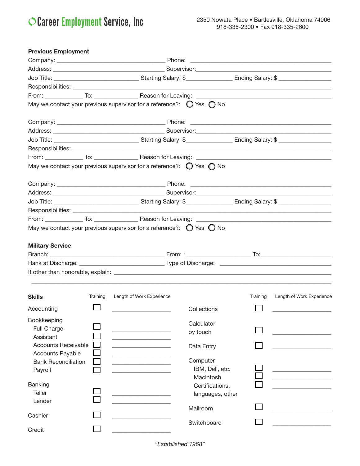O Career Employment Service, Inc.

| May we contact your previous supervisor for a reference?: $\bigcirc$ Yes $\bigcirc$ No<br>May we contact your previous supervisor for a reference?: $\bigcirc$ Yes $\bigcirc$ No<br>May we contact your previous supervisor for a reference?: $\bigcirc$ Yes $\bigcirc$ No<br><b>Military Service</b><br><b>Skills</b><br>Training<br>Length of Work Experience<br>Training<br>Length of Work Experience |
|----------------------------------------------------------------------------------------------------------------------------------------------------------------------------------------------------------------------------------------------------------------------------------------------------------------------------------------------------------------------------------------------------------|
|                                                                                                                                                                                                                                                                                                                                                                                                          |
|                                                                                                                                                                                                                                                                                                                                                                                                          |
|                                                                                                                                                                                                                                                                                                                                                                                                          |
|                                                                                                                                                                                                                                                                                                                                                                                                          |
|                                                                                                                                                                                                                                                                                                                                                                                                          |
|                                                                                                                                                                                                                                                                                                                                                                                                          |
|                                                                                                                                                                                                                                                                                                                                                                                                          |
|                                                                                                                                                                                                                                                                                                                                                                                                          |
|                                                                                                                                                                                                                                                                                                                                                                                                          |
|                                                                                                                                                                                                                                                                                                                                                                                                          |
|                                                                                                                                                                                                                                                                                                                                                                                                          |
|                                                                                                                                                                                                                                                                                                                                                                                                          |
|                                                                                                                                                                                                                                                                                                                                                                                                          |
|                                                                                                                                                                                                                                                                                                                                                                                                          |
|                                                                                                                                                                                                                                                                                                                                                                                                          |
|                                                                                                                                                                                                                                                                                                                                                                                                          |
|                                                                                                                                                                                                                                                                                                                                                                                                          |
|                                                                                                                                                                                                                                                                                                                                                                                                          |
|                                                                                                                                                                                                                                                                                                                                                                                                          |
|                                                                                                                                                                                                                                                                                                                                                                                                          |
|                                                                                                                                                                                                                                                                                                                                                                                                          |
|                                                                                                                                                                                                                                                                                                                                                                                                          |
| Accounting<br>Collections                                                                                                                                                                                                                                                                                                                                                                                |
| Bookkeeping<br>Calculator<br>Full Charge<br>by touch<br>Assistant                                                                                                                                                                                                                                                                                                                                        |
| <b>Accounts Receivable</b><br>Data Entry<br><b>Accounts Payable</b>                                                                                                                                                                                                                                                                                                                                      |
| Computer<br><b>Bank Reconciliation</b><br>IBM, Dell, etc.<br>Payroll<br>Macintosh                                                                                                                                                                                                                                                                                                                        |
| Banking<br>Certifications,<br><b>Teller</b><br>languages, other<br>Lender                                                                                                                                                                                                                                                                                                                                |
| Mailroom<br>Cashier                                                                                                                                                                                                                                                                                                                                                                                      |
| Switchboard<br>Credit                                                                                                                                                                                                                                                                                                                                                                                    |